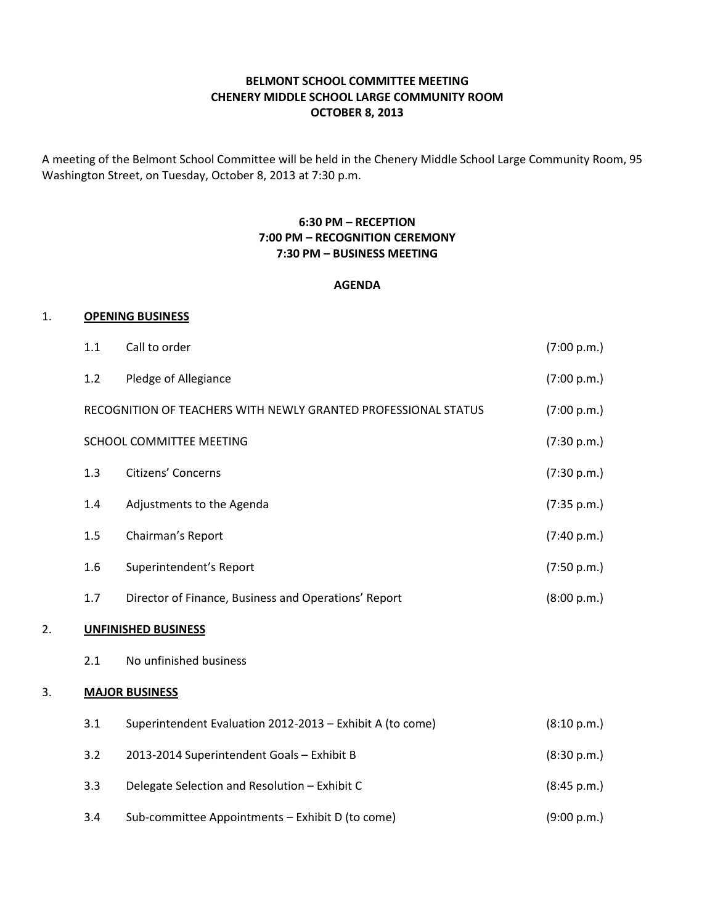# BELMONT SCHOOL COMMITTEE MEETING CHENERY MIDDLE SCHOOL LARGE COMMUNITY ROOM OCTOBER 8, 2013

A meeting of the Belmont School Committee will be held in the Chenery Middle School Large Community Room, 95 Washington Street, on Tuesday, October 8, 2013 at 7:30 p.m.

# 6:30 PM – RECEPTION 7:00 PM – RECOGNITION CEREMONY 7:30 PM – BUSINESS MEETING

#### AGENDA

#### 1. OPENING BUSINESS

|    | 1.1                        | Call to order                                                  | (7:00 p.m.) |
|----|----------------------------|----------------------------------------------------------------|-------------|
|    | 1.2                        | Pledge of Allegiance                                           | (7:00 p.m.) |
|    |                            | RECOGNITION OF TEACHERS WITH NEWLY GRANTED PROFESSIONAL STATUS | (7:00 p.m.) |
|    | SCHOOL COMMITTEE MEETING   | (7:30 p.m.)                                                    |             |
|    | 1.3                        | Citizens' Concerns                                             | (7:30 p.m.) |
|    | 1.4                        | Adjustments to the Agenda                                      | (7:35 p.m.) |
|    | 1.5                        | Chairman's Report                                              | (7:40 p.m.) |
|    | 1.6                        | Superintendent's Report                                        | (7:50 p.m.) |
|    | 1.7                        | Director of Finance, Business and Operations' Report           | (8:00 p.m.) |
| 2. | <b>UNFINISHED BUSINESS</b> |                                                                |             |
|    | 2.1                        | No unfinished business                                         |             |
| 3. | <b>MAJOR BUSINESS</b>      |                                                                |             |
|    | 3.1                        | Superintendent Evaluation 2012-2013 - Exhibit A (to come)      | (8:10 p.m.) |
|    | 3.2                        | 2013-2014 Superintendent Goals - Exhibit B                     | (8:30 p.m.) |
|    | 3.3                        | Delegate Selection and Resolution - Exhibit C                  | (8:45 p.m.) |
|    | 3.4                        | Sub-committee Appointments - Exhibit D (to come)               | (9:00 p.m.) |